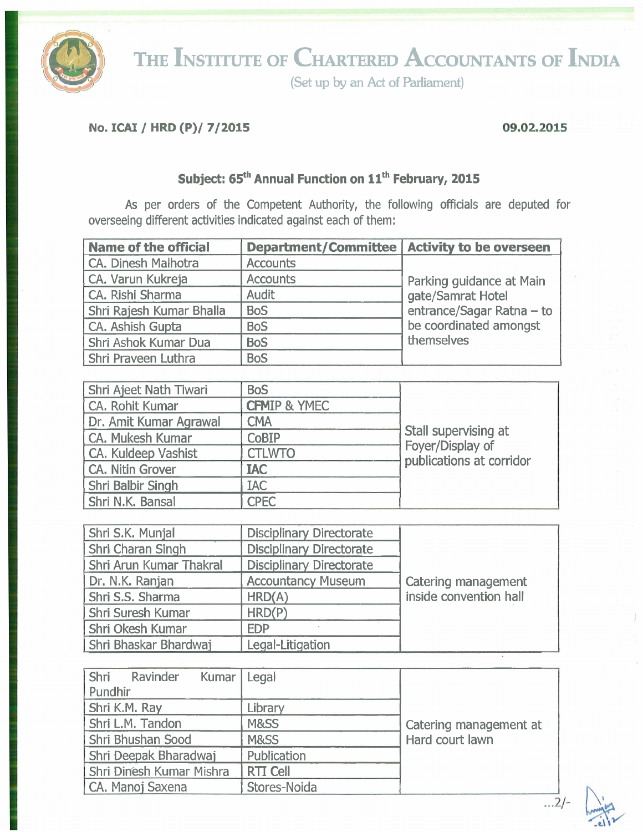

THE **INSTITUTE OF CHARTERED ACCOUNTANTS OF INDIA** 

**(Set up by an Ad of Parliament)** 

### **No. ICAI** / **HRD (P)/ 712015**

### 09.02.2015

## Subject: 65<sup>th</sup> Annual Function on 11<sup>th</sup> February, 2015

As per orders of the Competent Authority, the following officials are deputed for overseeing different activities indicated against each of them:

| <b>Name of the official</b> | Department/Committee   Activity to be overseen |                           |
|-----------------------------|------------------------------------------------|---------------------------|
| CA. Dinesh Malhotra         | <b>Accounts</b>                                |                           |
| CA. Varun Kukreja           | <b>Accounts</b>                                | Parking guidance at Main  |
| CA. Rishi Sharma            | <b>Audit</b>                                   | gate/Samrat Hotel         |
| Shri Rajesh Kumar Bhalla    | <b>BoS</b>                                     | entrance/Sagar Ratna - to |
| CA. Ashish Gupta            | <b>BoS</b>                                     | be coordinated amongst    |
| Shri Ashok Kumar Dua        | <b>BoS</b>                                     | themselves                |
| Shri Praveen Luthra         | <b>BoS</b>                                     |                           |

| Shri Ajeet Nath Tiwari | <b>BoS</b>              |                                          |
|------------------------|-------------------------|------------------------------------------|
| CA. Rohit Kumar        | <b>CFMIP &amp; YMEC</b> |                                          |
| Dr. Amit Kumar Agrawal | <b>CMA</b>              |                                          |
| CA. Mukesh Kumar       | <b>CoBIP</b>            | Stall supervising at<br>Foyer/Display of |
| CA. Kuldeep Vashist    | <b>CTLWTO</b>           | publications at corridor                 |
| CA. Nitin Grover       | <b>IAC</b>              |                                          |
| Shri Balbir Singh      | <b>IAC</b>              |                                          |
| Shri N.K. Bansal       | <b>CPEC</b>             |                                          |

| Shri S.K. Munjal        | <b>Disciplinary Directorate</b> |                        |
|-------------------------|---------------------------------|------------------------|
| Shri Charan Singh       | <b>Disciplinary Directorate</b> |                        |
| Shri Arun Kumar Thakral | <b>Disciplinary Directorate</b> |                        |
| Dr. N.K. Ranjan         | <b>Accountancy Museum</b>       | Catering management    |
| Shri S.S. Sharma        | HRD(A)                          | inside convention hall |
| Shri Suresh Kumar       | HRD(P)                          |                        |
| Shri Okesh Kumar        | <b>EDP</b>                      |                        |
| Shri Bhaskar Bhardwaj   | Legal-Litigation                |                        |

| Shri<br>Ravinder Kumar   | Legal           |                        |
|--------------------------|-----------------|------------------------|
| Pundhir                  |                 |                        |
| Shri K.M. Ray            | <b>Library</b>  |                        |
| Shri L.M. Tandon         | M&SS            | Catering management at |
| Shri Bhushan Sood        | M&SS            | Hard court lawn        |
| Shri Deepak Bharadwaj    | Publication     |                        |
| Shri Dinesh Kumar Mishra | <b>RTI Cell</b> |                        |
| CA. Manoj Saxena         | Stores-Noida    |                        |

 $\frac{1}{12}$ /-